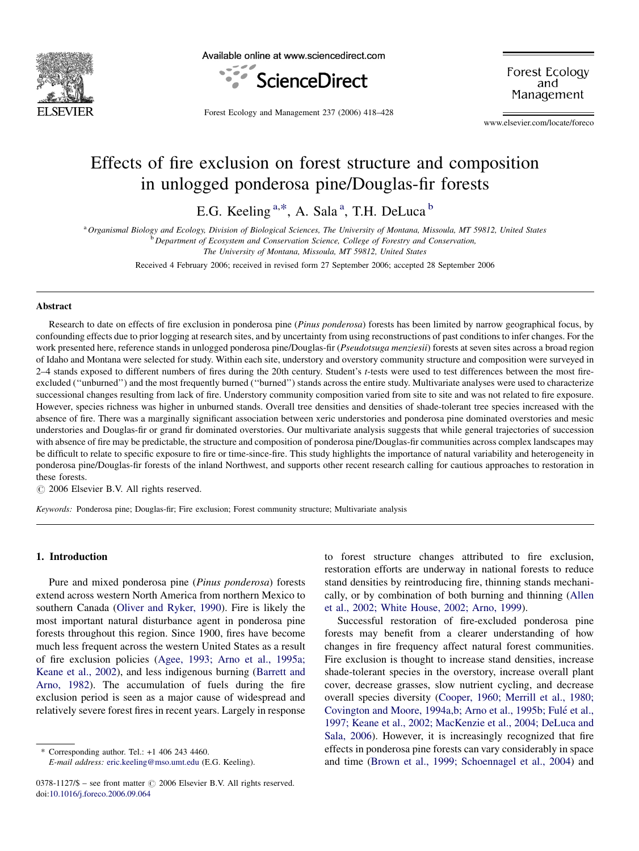

Available online at www.sciencedirect.com



Forest Ecology and Management

Forest Ecology and Management 237 (2006) 418–428

www.elsevier.com/locate/foreco

# Effects of fire exclusion on forest structure and composition in unlogged ponderosa pine/Douglas-fir forests

E.G. Keeling<sup>a,\*</sup>, A. Sala<sup>a</sup>, T.H. DeLuca<sup>b</sup>

<sup>a</sup> Organismal Biology and Ecology, Division of Biological Sciences, The University of Montana, Missoula, MT 59812, United States

<sup>b</sup> Department of Ecosystem and Conservation Science, College of Forestry and Conservation,

The University of Montana, Missoula, MT 59812, United States

Received 4 February 2006; received in revised form 27 September 2006; accepted 28 September 2006

## Abstract

Research to date on effects of fire exclusion in ponderosa pine (Pinus ponderosa) forests has been limited by narrow geographical focus, by confounding effects due to prior logging at research sites, and by uncertainty from using reconstructions of past conditions to infer changes. For the work presented here, reference stands in unlogged ponderosa pine/Douglas-fir (Pseudotsuga menziesii) forests at seven sites across a broad region of Idaho and Montana were selected for study. Within each site, understory and overstory community structure and composition were surveyed in 2–4 stands exposed to different numbers of fires during the 20th century. Student's t-tests were used to test differences between the most fireexcluded (''unburned'') and the most frequently burned (''burned'') stands across the entire study. Multivariate analyses were used to characterize successional changes resulting from lack of fire. Understory community composition varied from site to site and was not related to fire exposure. However, species richness was higher in unburned stands. Overall tree densities and densities of shade-tolerant tree species increased with the absence of fire. There was a marginally significant association between xeric understories and ponderosa pine dominated overstories and mesic understories and Douglas-fir or grand fir dominated overstories. Our multivariate analysis suggests that while general trajectories of succession with absence of fire may be predictable, the structure and composition of ponderosa pine/Douglas-fir communities across complex landscapes may be difficult to relate to specific exposure to fire or time-since-fire. This study highlights the importance of natural variability and heterogeneity in ponderosa pine/Douglas-fir forests of the inland Northwest, and supports other recent research calling for cautious approaches to restoration in these forests.

 $\odot$  2006 Elsevier B.V. All rights reserved.

Keywords: Ponderosa pine; Douglas-fir; Fire exclusion; Forest community structure; Multivariate analysis

## 1. Introduction

Pure and mixed ponderosa pine (Pinus ponderosa) forests extend across western North America from northern Mexico to southern Canada ([Oliver and Ryker, 1990](#page-10-0)). Fire is likely the most important natural disturbance agent in ponderosa pine forests throughout this region. Since 1900, fires have become much less frequent across the western United States as a result of fire exclusion policies [\(Agee, 1993; Arno et al., 1995a;](#page-9-0) [Keane et al., 2002\)](#page-9-0), and less indigenous burning [\(Barrett and](#page-9-0) [Arno, 1982](#page-9-0)). The accumulation of fuels during the fire exclusion period is seen as a major cause of widespread and relatively severe forest fires in recent years. Largely in response

E-mail address: [eric.keeling@mso.umt.edu](mailto:eric.keeling@mso.umt.edu) (E.G. Keeling).

to forest structure changes attributed to fire exclusion, restoration efforts are underway in national forests to reduce stand densities by reintroducing fire, thinning stands mechanically, or by combination of both burning and thinning [\(Allen](#page-9-0) [et al., 2002; White House, 2002; Arno, 1999](#page-9-0)).

Successful restoration of fire-excluded ponderosa pine forests may benefit from a clearer understanding of how changes in fire frequency affect natural forest communities. Fire exclusion is thought to increase stand densities, increase shade-tolerant species in the overstory, increase overall plant cover, decrease grasses, slow nutrient cycling, and decrease overall species diversity [\(Cooper, 1960; Merrill et al., 1980;](#page-9-0) Covington and Moore, 1994a,b; Arno et al., 1995b; Fulé et al., [1997; Keane et al., 2002; MacKenzie et al., 2004; DeLuca and](#page-9-0) [Sala, 2006\)](#page-9-0). However, it is increasingly recognized that fire effects in ponderosa pine forests can vary considerably in space and time ([Brown et al., 1999; Schoennagel et al., 2004](#page-9-0)) and

<sup>\*</sup> Corresponding author. Tel.: +1 406 243 4460.

 $0378-1127/\$$  – see front matter  $\odot$  2006 Elsevier B.V. All rights reserved. doi[:10.1016/j.foreco.2006.09.064](http://dx.doi.org/10.1016/j.foreco.2006.09.064)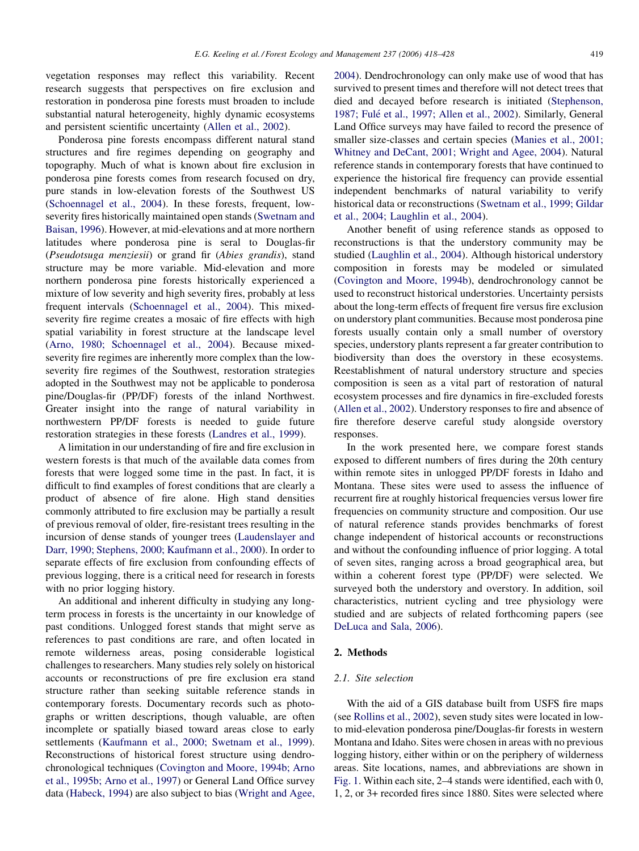<span id="page-1-0"></span>vegetation responses may reflect this variability. Recent research suggests that perspectives on fire exclusion and restoration in ponderosa pine forests must broaden to include substantial natural heterogeneity, highly dynamic ecosystems and persistent scientific uncertainty [\(Allen et al., 2002\)](#page-9-0).

Ponderosa pine forests encompass different natural stand structures and fire regimes depending on geography and topography. Much of what is known about fire exclusion in ponderosa pine forests comes from research focused on dry, pure stands in low-elevation forests of the Southwest US ([Schoennagel et al., 2004](#page-10-0)). In these forests, frequent, lowseverity fires historically maintained open stands [\(Swetnam and](#page-10-0) [Baisan, 1996](#page-10-0)). However, at mid-elevations and at more northern latitudes where ponderosa pine is seral to Douglas-fir (Pseudotsuga menziesii) or grand fir (Abies grandis), stand structure may be more variable. Mid-elevation and more northern ponderosa pine forests historically experienced a mixture of low severity and high severity fires, probably at less frequent intervals [\(Schoennagel et al., 2004\)](#page-10-0). This mixedseverity fire regime creates a mosaic of fire effects with high spatial variability in forest structure at the landscape level ([Arno, 1980; Schoennagel et al., 2004\)](#page-9-0). Because mixedseverity fire regimes are inherently more complex than the lowseverity fire regimes of the Southwest, restoration strategies adopted in the Southwest may not be applicable to ponderosa pine/Douglas-fir (PP/DF) forests of the inland Northwest. Greater insight into the range of natural variability in northwestern PP/DF forests is needed to guide future restoration strategies in these forests ([Landres et al., 1999\)](#page-10-0).

A limitation in our understanding of fire and fire exclusion in western forests is that much of the available data comes from forests that were logged some time in the past. In fact, it is difficult to find examples of forest conditions that are clearly a product of absence of fire alone. High stand densities commonly attributed to fire exclusion may be partially a result of previous removal of older, fire-resistant trees resulting in the incursion of dense stands of younger trees ([Laudenslayer and](#page-10-0) [Darr, 1990; Stephens, 2000; Kaufmann et al., 2000](#page-10-0)). In order to separate effects of fire exclusion from confounding effects of previous logging, there is a critical need for research in forests with no prior logging history.

An additional and inherent difficulty in studying any longterm process in forests is the uncertainty in our knowledge of past conditions. Unlogged forest stands that might serve as references to past conditions are rare, and often located in remote wilderness areas, posing considerable logistical challenges to researchers. Many studies rely solely on historical accounts or reconstructions of pre fire exclusion era stand structure rather than seeking suitable reference stands in contemporary forests. Documentary records such as photographs or written descriptions, though valuable, are often incomplete or spatially biased toward areas close to early settlements [\(Kaufmann et al., 2000; Swetnam et al., 1999\)](#page-10-0). Reconstructions of historical forest structure using dendrochronological techniques [\(Covington and Moore, 1994b; Arno](#page-9-0) [et al., 1995b; Arno et al., 1997](#page-9-0)) or General Land Office survey data ([Habeck, 1994](#page-10-0)) are also subject to bias [\(Wright and Agee,](#page-10-0)

[2004](#page-10-0)). Dendrochronology can only make use of wood that has survived to present times and therefore will not detect trees that died and decayed before research is initiated ([Stephenson,](#page-10-0) 1987; Fulé [et al., 1997; Allen et al., 2002\)](#page-10-0). Similarly, General Land Office surveys may have failed to record the presence of smaller size-classes and certain species ([Manies et al., 2001;](#page-10-0) [Whitney and DeCant, 2001; Wright and Agee, 2004\)](#page-10-0). Natural reference stands in contemporary forests that have continued to experience the historical fire frequency can provide essential independent benchmarks of natural variability to verify historical data or reconstructions ([Swetnam et al., 1999; Gildar](#page-10-0) [et al., 2004; Laughlin et al., 2004](#page-10-0)).

Another benefit of using reference stands as opposed to reconstructions is that the understory community may be studied ([Laughlin et al., 2004\)](#page-10-0). Although historical understory composition in forests may be modeled or simulated ([Covington and Moore, 1994b](#page-9-0)), dendrochronology cannot be used to reconstruct historical understories. Uncertainty persists about the long-term effects of frequent fire versus fire exclusion on understory plant communities. Because most ponderosa pine forests usually contain only a small number of overstory species, understory plants represent a far greater contribution to biodiversity than does the overstory in these ecosystems. Reestablishment of natural understory structure and species composition is seen as a vital part of restoration of natural ecosystem processes and fire dynamics in fire-excluded forests ([Allen et al., 2002\)](#page-9-0). Understory responses to fire and absence of fire therefore deserve careful study alongside overstory responses.

In the work presented here, we compare forest stands exposed to different numbers of fires during the 20th century within remote sites in unlogged PP/DF forests in Idaho and Montana. These sites were used to assess the influence of recurrent fire at roughly historical frequencies versus lower fire frequencies on community structure and composition. Our use of natural reference stands provides benchmarks of forest change independent of historical accounts or reconstructions and without the confounding influence of prior logging. A total of seven sites, ranging across a broad geographical area, but within a coherent forest type (PP/DF) were selected. We surveyed both the understory and overstory. In addition, soil characteristics, nutrient cycling and tree physiology were studied and are subjects of related forthcoming papers (see [DeLuca and Sala, 2006](#page-9-0)).

## 2. Methods

## 2.1. Site selection

With the aid of a GIS database built from USFS fire maps (see [Rollins et al., 2002\)](#page-10-0), seven study sites were located in lowto mid-elevation ponderosa pine/Douglas-fir forests in western Montana and Idaho. Sites were chosen in areas with no previous logging history, either within or on the periphery of wilderness areas. Site locations, names, and abbreviations are shown in [Fig. 1](#page-2-0). Within each site, 2–4 stands were identified, each with 0, 1, 2, or 3+ recorded fires since 1880. Sites were selected where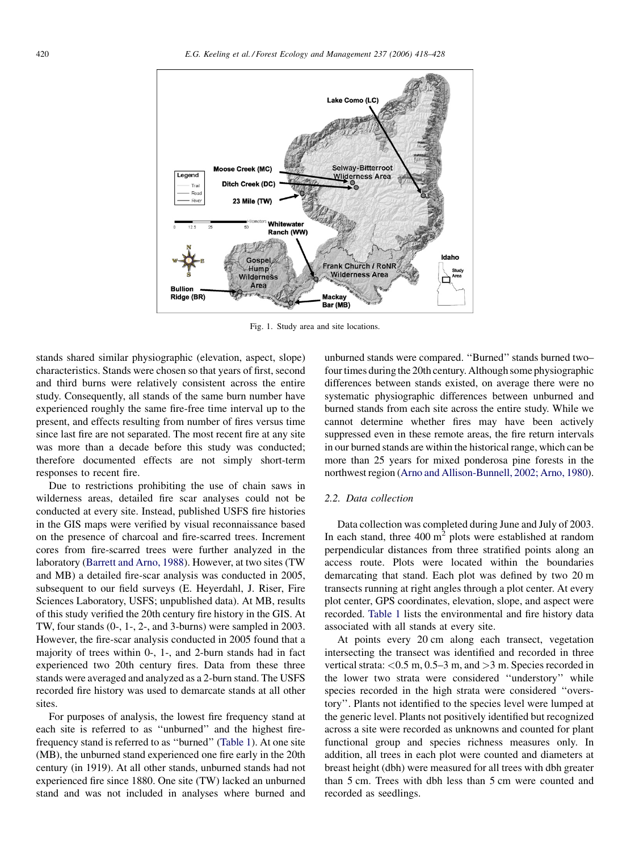<span id="page-2-0"></span>

Fig. 1. Study area and site locations.

stands shared similar physiographic (elevation, aspect, slope) characteristics. Stands were chosen so that years of first, second and third burns were relatively consistent across the entire study. Consequently, all stands of the same burn number have experienced roughly the same fire-free time interval up to the present, and effects resulting from number of fires versus time since last fire are not separated. The most recent fire at any site was more than a decade before this study was conducted; therefore documented effects are not simply short-term responses to recent fire.

Due to restrictions prohibiting the use of chain saws in wilderness areas, detailed fire scar analyses could not be conducted at every site. Instead, published USFS fire histories in the GIS maps were verified by visual reconnaissance based on the presence of charcoal and fire-scarred trees. Increment cores from fire-scarred trees were further analyzed in the laboratory [\(Barrett and Arno, 1988\)](#page-9-0). However, at two sites (TW and MB) a detailed fire-scar analysis was conducted in 2005, subsequent to our field surveys (E. Heyerdahl, J. Riser, Fire Sciences Laboratory, USFS; unpublished data). At MB, results of this study verified the 20th century fire history in the GIS. At TW, four stands (0-, 1-, 2-, and 3-burns) were sampled in 2003. However, the fire-scar analysis conducted in 2005 found that a majority of trees within 0-, 1-, and 2-burn stands had in fact experienced two 20th century fires. Data from these three stands were averaged and analyzed as a 2-burn stand. The USFS recorded fire history was used to demarcate stands at all other sites.

For purposes of analysis, the lowest fire frequency stand at each site is referred to as ''unburned'' and the highest firefrequency stand is referred to as ''burned'' [\(Table 1](#page-3-0)). At one site (MB), the unburned stand experienced one fire early in the 20th century (in 1919). At all other stands, unburned stands had not experienced fire since 1880. One site (TW) lacked an unburned stand and was not included in analyses where burned and unburned stands were compared. ''Burned'' stands burned two– four times during the 20th century. Although some physiographic differences between stands existed, on average there were no systematic physiographic differences between unburned and burned stands from each site across the entire study. While we cannot determine whether fires may have been actively suppressed even in these remote areas, the fire return intervals in our burned stands are within the historical range, which can be more than 25 years for mixed ponderosa pine forests in the northwest region ([Arno and Allison-Bunnell, 2002; Arno, 1980\)](#page-9-0).

# 2.2. Data collection

Data collection was completed during June and July of 2003. In each stand, three  $400 \text{ m}^2$  plots were established at random perpendicular distances from three stratified points along an access route. Plots were located within the boundaries demarcating that stand. Each plot was defined by two 20 m transects running at right angles through a plot center. At every plot center, GPS coordinates, elevation, slope, and aspect were recorded. [Table 1](#page-3-0) lists the environmental and fire history data associated with all stands at every site.

At points every 20 cm along each transect, vegetation intersecting the transect was identified and recorded in three vertical strata: <0.5 m, 0.5–3 m, and >3 m. Species recorded in the lower two strata were considered ''understory'' while species recorded in the high strata were considered ''overstory''. Plants not identified to the species level were lumped at the generic level. Plants not positively identified but recognized across a site were recorded as unknowns and counted for plant functional group and species richness measures only. In addition, all trees in each plot were counted and diameters at breast height (dbh) were measured for all trees with dbh greater than 5 cm. Trees with dbh less than 5 cm were counted and recorded as seedlings.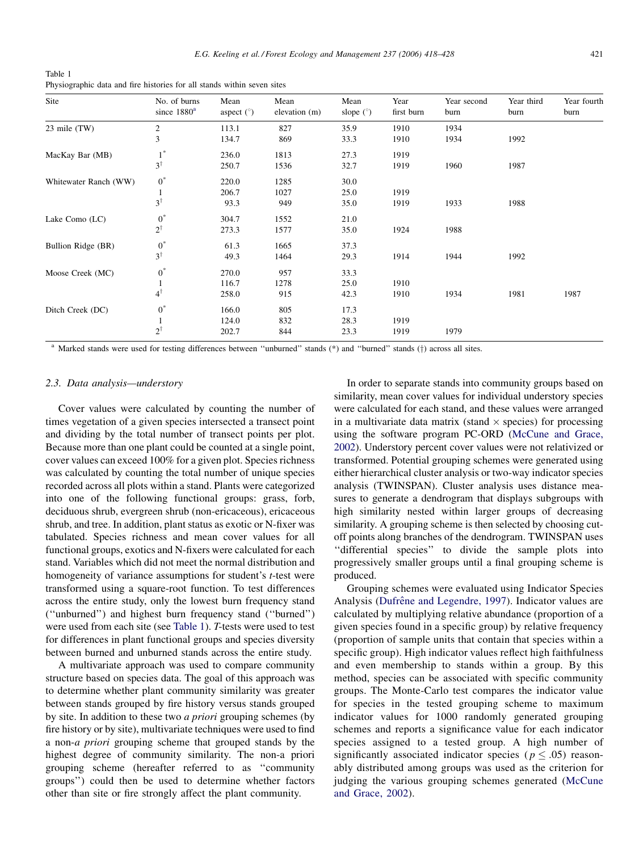<span id="page-3-0"></span>

| Table 1                                                                 |  |  |  |  |
|-------------------------------------------------------------------------|--|--|--|--|
| Physiographic data and fire histories for all stands within seven sites |  |  |  |  |

| Site                  | No. of burns<br>since $1880a$                           | Mean<br>aspect $(°)$ | Mean<br>elevation (m) | Mean<br>slope $(°)$ | Year<br>first burn | Year second<br>burn | Year third<br>burn | Year fourth<br>burn |
|-----------------------|---------------------------------------------------------|----------------------|-----------------------|---------------------|--------------------|---------------------|--------------------|---------------------|
| 23 mile (TW)          | 2                                                       | 113.1                | 827                   | 35.9                | 1910               | 1934                |                    |                     |
|                       | 3                                                       | 134.7                | 869                   | 33.3                | 1910               | 1934                | 1992               |                     |
| MacKay Bar (MB)       | $1^*$                                                   | 236.0                | 1813                  | 27.3                | 1919               |                     |                    |                     |
|                       | $3^{\dagger}$                                           | 250.7                | 1536                  | 32.7                | 1919               | 1960                | 1987               |                     |
| Whitewater Ranch (WW) | $0^*$                                                   | 220.0                | 1285                  | 30.0                |                    |                     |                    |                     |
|                       | $\mathbf{I}$                                            | 206.7                | 1027                  | 25.0                | 1919               |                     |                    |                     |
|                       | $3^{\dagger}$                                           | 93.3                 | 949                   | 35.0                | 1919               | 1933                | 1988               |                     |
| Lake Como (LC)        | $0^*$                                                   | 304.7                | 1552                  | 21.0                |                    |                     |                    |                     |
|                       | $2^{\dagger}$                                           | 273.3                | 1577                  | 35.0                | 1924               | 1988                |                    |                     |
| Bullion Ridge (BR)    | $\begin{smallmatrix} 0\\ 3^{\dagger} \end{smallmatrix}$ | 61.3                 | 1665                  | 37.3                |                    |                     |                    |                     |
|                       |                                                         | 49.3                 | 1464                  | 29.3                | 1914               | 1944                | 1992               |                     |
| Moose Creek (MC)      | $0^*$                                                   | 270.0                | 957                   | 33.3                |                    |                     |                    |                     |
|                       |                                                         | 116.7                | 1278                  | 25.0                | 1910               |                     |                    |                     |
|                       | $4^{\dagger}$                                           | 258.0                | 915                   | 42.3                | 1910               | 1934                | 1981               | 1987                |
| Ditch Creek (DC)      | $0^*$                                                   | 166.0                | 805                   | 17.3                |                    |                     |                    |                     |
|                       |                                                         | 124.0                | 832                   | 28.3                | 1919               |                     |                    |                     |
|                       | $2^{\dagger}$                                           | 202.7                | 844                   | 23.3                | 1919               | 1979                |                    |                     |

<sup>a</sup> Marked stands were used for testing differences between "unburned" stands (\*) and "burned" stands (†) across all sites.

#### 2.3. Data analysis—understory

Cover values were calculated by counting the number of times vegetation of a given species intersected a transect point and dividing by the total number of transect points per plot. Because more than one plant could be counted at a single point, cover values can exceed 100% for a given plot. Species richness was calculated by counting the total number of unique species recorded across all plots within a stand. Plants were categorized into one of the following functional groups: grass, forb, deciduous shrub, evergreen shrub (non-ericaceous), ericaceous shrub, and tree. In addition, plant status as exotic or N-fixer was tabulated. Species richness and mean cover values for all functional groups, exotics and N-fixers were calculated for each stand. Variables which did not meet the normal distribution and homogeneity of variance assumptions for student's *t*-test were transformed using a square-root function. To test differences across the entire study, only the lowest burn frequency stand (''unburned'') and highest burn frequency stand (''burned'') were used from each site (see Table 1). T-tests were used to test for differences in plant functional groups and species diversity between burned and unburned stands across the entire study.

A multivariate approach was used to compare community structure based on species data. The goal of this approach was to determine whether plant community similarity was greater between stands grouped by fire history versus stands grouped by site. In addition to these two a priori grouping schemes (by fire history or by site), multivariate techniques were used to find a non-a priori grouping scheme that grouped stands by the highest degree of community similarity. The non-a priori grouping scheme (hereafter referred to as ''community groups'') could then be used to determine whether factors other than site or fire strongly affect the plant community.

In order to separate stands into community groups based on similarity, mean cover values for individual understory species were calculated for each stand, and these values were arranged in a multivariate data matrix (stand  $\times$  species) for processing using the software program PC-ORD ([McCune and Grace,](#page-10-0) [2002](#page-10-0)). Understory percent cover values were not relativized or transformed. Potential grouping schemes were generated using either hierarchical cluster analysis or two-way indicator species analysis (TWINSPAN). Cluster analysis uses distance measures to generate a dendrogram that displays subgroups with high similarity nested within larger groups of decreasing similarity. A grouping scheme is then selected by choosing cutoff points along branches of the dendrogram. TWINSPAN uses ''differential species'' to divide the sample plots into progressively smaller groups until a final grouping scheme is produced.

Grouping schemes were evaluated using Indicator Species Analysis (Dufrêne and Legendre, 1997). Indicator values are calculated by multiplying relative abundance (proportion of a given species found in a specific group) by relative frequency (proportion of sample units that contain that species within a specific group). High indicator values reflect high faithfulness and even membership to stands within a group. By this method, species can be associated with specific community groups. The Monte-Carlo test compares the indicator value for species in the tested grouping scheme to maximum indicator values for 1000 randomly generated grouping schemes and reports a significance value for each indicator species assigned to a tested group. A high number of significantly associated indicator species ( $p \leq .05$ ) reasonably distributed among groups was used as the criterion for judging the various grouping schemes generated ([McCune](#page-10-0) [and Grace, 2002\)](#page-10-0).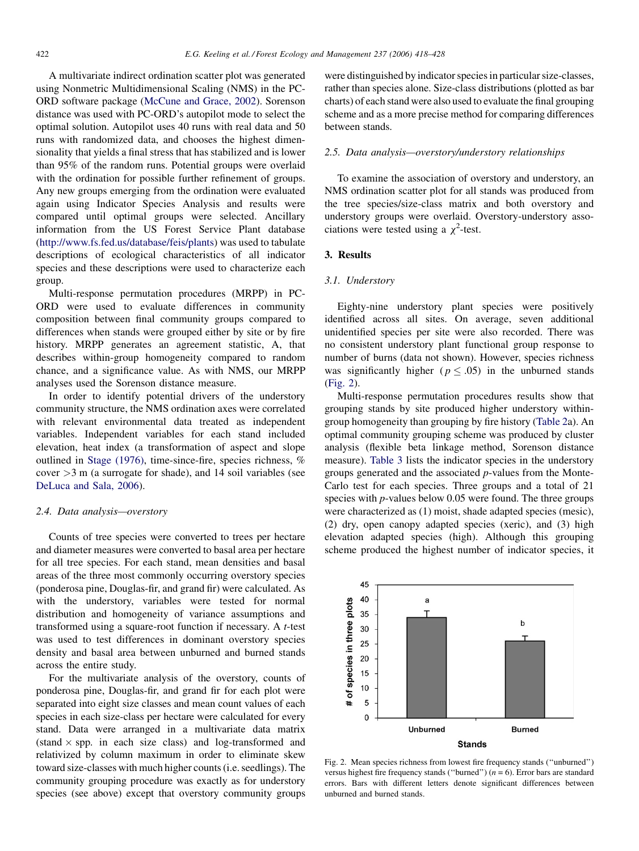<span id="page-4-0"></span>A multivariate indirect ordination scatter plot was generated using Nonmetric Multidimensional Scaling (NMS) in the PC-ORD software package [\(McCune and Grace, 2002\)](#page-10-0). Sorenson distance was used with PC-ORD's autopilot mode to select the optimal solution. Autopilot uses 40 runs with real data and 50 runs with randomized data, and chooses the highest dimensionality that yields a final stress that has stabilized and is lower than 95% of the random runs. Potential groups were overlaid with the ordination for possible further refinement of groups. Any new groups emerging from the ordination were evaluated again using Indicator Species Analysis and results were compared until optimal groups were selected. Ancillary information from the US Forest Service Plant database ([http://www.fs.fed.us/database/feis/plants\)](http://www.fs.fed.us/database/feis/plants) was used to tabulate descriptions of ecological characteristics of all indicator species and these descriptions were used to characterize each group.

Multi-response permutation procedures (MRPP) in PC-ORD were used to evaluate differences in community composition between final community groups compared to differences when stands were grouped either by site or by fire history. MRPP generates an agreement statistic, A, that describes within-group homogeneity compared to random chance, and a significance value. As with NMS, our MRPP analyses used the Sorenson distance measure.

In order to identify potential drivers of the understory community structure, the NMS ordination axes were correlated with relevant environmental data treated as independent variables. Independent variables for each stand included elevation, heat index (a transformation of aspect and slope outlined in [Stage \(1976\)](#page-10-0), time-since-fire, species richness, % cover  $>3$  m (a surrogate for shade), and 14 soil variables (see [DeLuca and Sala, 2006\)](#page-9-0).

# 2.4. Data analysis—overstory

Counts of tree species were converted to trees per hectare and diameter measures were converted to basal area per hectare for all tree species. For each stand, mean densities and basal areas of the three most commonly occurring overstory species (ponderosa pine, Douglas-fir, and grand fir) were calculated. As with the understory, variables were tested for normal distribution and homogeneity of variance assumptions and transformed using a square-root function if necessary. A t-test was used to test differences in dominant overstory species density and basal area between unburned and burned stands across the entire study.

For the multivariate analysis of the overstory, counts of ponderosa pine, Douglas-fir, and grand fir for each plot were separated into eight size classes and mean count values of each species in each size-class per hectare were calculated for every stand. Data were arranged in a multivariate data matrix (stand  $\times$  spp. in each size class) and log-transformed and relativized by column maximum in order to eliminate skew toward size-classes with much higher counts (i.e. seedlings). The community grouping procedure was exactly as for understory species (see above) except that overstory community groups were distinguished by indicator species in particular size-classes, rather than species alone. Size-class distributions (plotted as bar charts) of each stand were also used to evaluate the final grouping scheme and as a more precise method for comparing differences between stands.

#### 2.5. Data analysis—overstory/understory relationships

To examine the association of overstory and understory, an NMS ordination scatter plot for all stands was produced from the tree species/size-class matrix and both overstory and understory groups were overlaid. Overstory-understory associations were tested using a  $\chi^2$ -test.

# 3. Results

#### 3.1. Understory

Eighty-nine understory plant species were positively identified across all sites. On average, seven additional unidentified species per site were also recorded. There was no consistent understory plant functional group response to number of burns (data not shown). However, species richness was significantly higher ( $p \le .05$ ) in the unburned stands (Fig. 2).

Multi-response permutation procedures results show that grouping stands by site produced higher understory withingroup homogeneity than grouping by fire history [\(Table 2](#page-5-0)a). An optimal community grouping scheme was produced by cluster analysis (flexible beta linkage method, Sorenson distance measure). [Table 3](#page-5-0) lists the indicator species in the understory groups generated and the associated p-values from the Monte-Carlo test for each species. Three groups and a total of 21 species with *p*-values below 0.05 were found. The three groups were characterized as (1) moist, shade adapted species (mesic), (2) dry, open canopy adapted species (xeric), and (3) high elevation adapted species (high). Although this grouping scheme produced the highest number of indicator species, it



Fig. 2. Mean species richness from lowest fire frequency stands (''unburned'') versus highest fire frequency stands ("burned") ( $n = 6$ ). Error bars are standard errors. Bars with different letters denote significant differences between unburned and burned stands.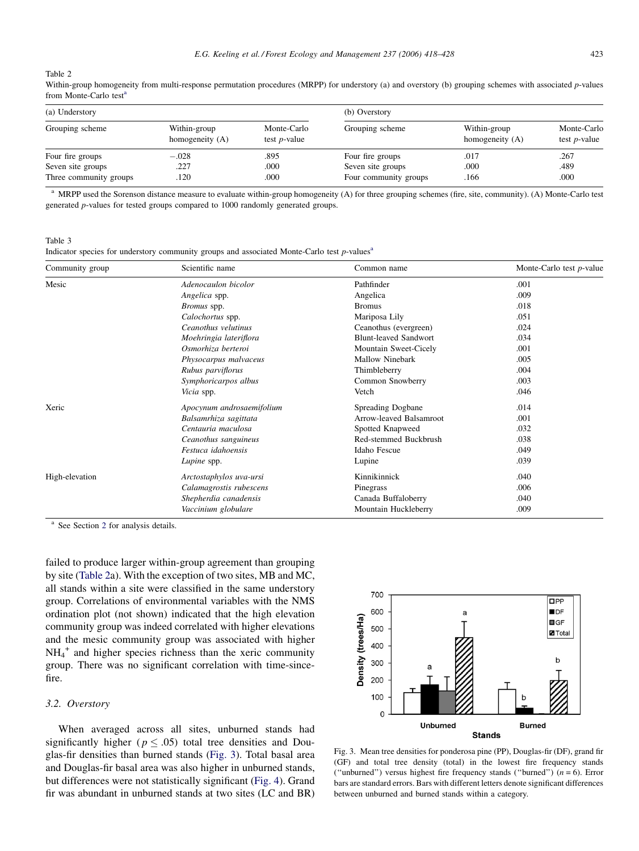<span id="page-5-0"></span>Table 2

Within-group homogeneity from multi-response permutation procedures (MRPP) for understory (a) and overstory (b) grouping schemes with associated p-values from Monte-Carlo test<sup>a</sup>

| (a) Understory         |                                 |                                | (b) Overstory         |                                 |                                |  |
|------------------------|---------------------------------|--------------------------------|-----------------------|---------------------------------|--------------------------------|--|
| Grouping scheme        | Within-group<br>homogeneity (A) | Monte-Carlo<br>test $p$ -value | Grouping scheme       | Within-group<br>homogeneity (A) | Monte-Carlo<br>test $p$ -value |  |
| Four fire groups       | $-.028$                         | .895                           | Four fire groups      | .017                            | .267                           |  |
| Seven site groups      | .227                            | .000                           | Seven site groups     | .000                            | .489                           |  |
| Three community groups | .120                            | .000                           | Four community groups | .166                            | .000                           |  |

MRPP used the Sorenson distance measure to evaluate within-group homogeneity (A) for three grouping schemes (fire, site, community). (A) Monte-Carlo test generated p-values for tested groups compared to 1000 randomly generated groups.

Table 3

Indicator species for understory community groups and associated Monte-Carlo test  $p$ -values<sup>a</sup>

| Community group | Scientific name           | Common name                  | Monte-Carlo test $p$ -value |  |
|-----------------|---------------------------|------------------------------|-----------------------------|--|
| Mesic           | Adenocaulon bicolor       | Pathfinder                   | .001                        |  |
|                 | Angelica spp.             | Angelica                     | .009                        |  |
|                 | <i>Bromus</i> spp.        | <b>Bromus</b>                | .018                        |  |
|                 | Calochortus spp.          | Mariposa Lily                | .051                        |  |
|                 | Ceanothus velutinus       | Ceanothus (evergreen)        | .024                        |  |
|                 | Moehringia lateriflora    | <b>Blunt-leaved Sandwort</b> | .034                        |  |
|                 | Osmorhiza berteroi        | Mountain Sweet-Cicely        | .001                        |  |
|                 | Physocarpus malvaceus     | <b>Mallow Ninebark</b>       | .005                        |  |
|                 | Rubus parviflorus         | Thimbleberry                 | .004                        |  |
|                 | Symphoricarpos albus      | Common Snowberry             | .003                        |  |
|                 | Vicia spp.                | Vetch                        | .046                        |  |
| Xeric           | Apocynum androsaemifolium | Spreading Dogbane            | .014                        |  |
|                 | Balsamrhiza sagittata     | Arrow-leaved Balsamroot      | .001                        |  |
|                 | Centauria maculosa        | Spotted Knapweed             | .032                        |  |
|                 | Ceanothus sanguineus      | Red-stemmed Buckbrush        | .038                        |  |
|                 | Festuca idahoensis        | <b>Idaho Fescue</b>          | .049                        |  |
|                 | Lupine spp.               | Lupine                       | .039                        |  |
| High-elevation  | Arctostaphylos uva-ursi   | Kinnikinnick                 | .040                        |  |
|                 | Calamagrostis rubescens   | Pinegrass                    | .006                        |  |
|                 | Shepherdia canadensis     | Canada Buffaloberry          | .040                        |  |
|                 | Vaccinium globulare       | Mountain Huckleberry         | .009                        |  |

<sup>a</sup> See Section [2](#page-1-0) for analysis details.

failed to produce larger within-group agreement than grouping by site (Table 2a). With the exception of two sites, MB and MC, all stands within a site were classified in the same understory group. Correlations of environmental variables with the NMS ordination plot (not shown) indicated that the high elevation community group was indeed correlated with higher elevations and the mesic community group was associated with higher NH<sub>4</sub><sup>+</sup> and higher species richness than the xeric community group. There was no significant correlation with time-sincefire.

### 3.2. Overstory

When averaged across all sites, unburned stands had significantly higher ( $p \leq .05$ ) total tree densities and Douglas-fir densities than burned stands (Fig. 3). Total basal area and Douglas-fir basal area was also higher in unburned stands, but differences were not statistically significant [\(Fig. 4](#page-6-0)). Grand fir was abundant in unburned stands at two sites (LC and BR)



Fig. 3. Mean tree densities for ponderosa pine (PP), Douglas-fir (DF), grand fir (GF) and total tree density (total) in the lowest fire frequency stands ("unburned") versus highest fire frequency stands ("burned")  $(n = 6)$ . Error bars are standard errors. Bars with different letters denote significant differences between unburned and burned stands within a category.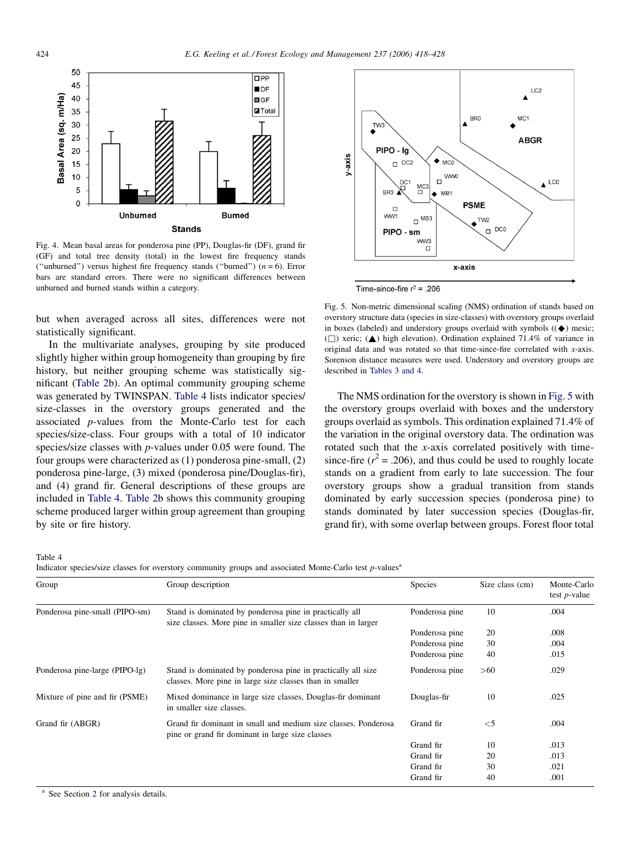<span id="page-6-0"></span>

Fig. 4. Mean basal areas for ponderosa pine (PP), Douglas-fir (DF), grand fir (GF) and total tree density (total) in the lowest fire frequency stands ("unburned") versus highest fire frequency stands ("burned")  $(n = 6)$ . Error bars are standard errors. There were no significant differences between unburned and burned stands within a category.

but when averaged across all sites, differences were not statistically significant.

In the multivariate analyses, grouping by site produced slightly higher within group homogeneity than grouping by fire history, but neither grouping scheme was statistically significant ([Table 2](#page-5-0)b). An optimal community grouping scheme was generated by TWINSPAN. Table 4 lists indicator species/ size-classes in the overstory groups generated and the associated p-values from the Monte-Carlo test for each species/size-class. Four groups with a total of 10 indicator species/size classes with *p*-values under 0.05 were found. The four groups were characterized as (1) ponderosa pine-small, (2) ponderosa pine-large, (3) mixed (ponderosa pine/Douglas-fir), and (4) grand fir. General descriptions of these groups are included in Table 4. [Table 2](#page-5-0)b shows this community grouping scheme produced larger within group agreement than grouping by site or fire history.



Time-since-fire  $r^2$  = .206

Fig. 5. Non-metric dimensional scaling (NMS) ordination of stands based on overstory structure data (species in size-classes) with overstory groups overlaid in boxes (labeled) and understory groups overlaid with symbols  $((\blacklozenge)$  mesic; ( $\Box$ ) xeric; ( $\triangle$ ) high elevation). Ordination explained 71.4% of variance in original data and was rotated so that time-since-fire correlated with x-axis. Sorenson distance measures were used. Understory and overstory groups are described in [Tables 3 and 4.](#page-5-0)

The NMS ordination for the overstory is shown in Fig. 5 with the overstory groups overlaid with boxes and the understory groups overlaid as symbols. This ordination explained 71.4% of the variation in the original overstory data. The ordination was rotated such that the x-axis correlated positively with timesince-fire ( $r^2$  = .206), and thus could be used to roughly locate stands on a gradient from early to late succession. The four overstory groups show a gradual transition from stands dominated by early succession species (ponderosa pine) to stands dominated by later succession species (Douglas-fir, grand fir), with some overlap between groups. Forest floor total

Table 4

Indicator species/size classes for overstory community groups and associated Monte-Carlo test p-values<sup>a</sup>

| Group                          | Group description                                                                                                         | <b>Species</b> | Size class (cm) | Monte-Carlo<br>test $p$ -value |
|--------------------------------|---------------------------------------------------------------------------------------------------------------------------|----------------|-----------------|--------------------------------|
| Ponderosa pine-small (PIPO-sm) | Stand is dominated by ponderosa pine in practically all<br>size classes. More pine in smaller size classes than in larger | Ponderosa pine | 10              | .004                           |
|                                |                                                                                                                           | Ponderosa pine | 20              | .008                           |
|                                |                                                                                                                           | Ponderosa pine | 30              | .004                           |
|                                |                                                                                                                           | Ponderosa pine | 40              | .015                           |
| Ponderosa pine-large (PIPO-lg) | Stand is dominated by ponderosa pine in practically all size<br>classes. More pine in large size classes than in smaller  | Ponderosa pine | > 60            | .029                           |
| Mixture of pine and fir (PSME) | Mixed dominance in large size classes, Douglas-fir dominant<br>in smaller size classes.                                   | Douglas-fir    | 10              | .025                           |
| Grand fir (ABGR)               | Grand fir dominant in small and medium size classes. Ponderosa<br>pine or grand fir dominant in large size classes        | Grand fir      | $<$ 5           | .004                           |
|                                |                                                                                                                           | Grand fir      | 10              | .013                           |
|                                |                                                                                                                           | Grand fir      | 20              | .013                           |
|                                |                                                                                                                           | Grand fir      | 30              | .021                           |
|                                |                                                                                                                           | Grand fir      | 40              | .001                           |

<sup>a</sup> See Section [2](#page-1-0) for analysis details.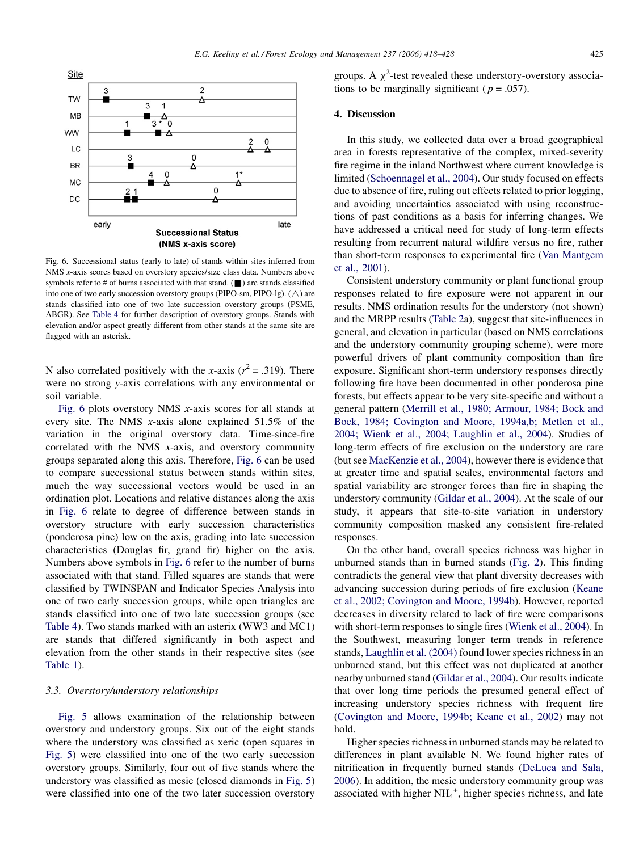<span id="page-7-0"></span>

Fig. 6. Successional status (early to late) of stands within sites inferred from NMS x-axis scores based on overstory species/size class data. Numbers above symbols refer to # of burns associated with that stand. ( $\blacksquare$ ) are stands classified into one of two early succession overstory groups (PIPO-sm, PIPO-lg).  $(\triangle)$  are stands classified into one of two late succession overstory groups (PSME, ABGR). See [Table 4](#page-6-0) for further description of overstory groups. Stands with elevation and/or aspect greatly different from other stands at the same site are flagged with an asterisk.

N also correlated positively with the x-axis ( $r^2 = .319$ ). There were no strong y-axis correlations with any environmental or soil variable.

Fig. 6 plots overstory NMS x-axis scores for all stands at every site. The NMS x-axis alone explained 51.5% of the variation in the original overstory data. Time-since-fire correlated with the NMS  $x$ -axis, and overstory community groups separated along this axis. Therefore, Fig. 6 can be used to compare successional status between stands within sites, much the way successional vectors would be used in an ordination plot. Locations and relative distances along the axis in Fig. 6 relate to degree of difference between stands in overstory structure with early succession characteristics (ponderosa pine) low on the axis, grading into late succession characteristics (Douglas fir, grand fir) higher on the axis. Numbers above symbols in Fig. 6 refer to the number of burns associated with that stand. Filled squares are stands that were classified by TWINSPAN and Indicator Species Analysis into one of two early succession groups, while open triangles are stands classified into one of two late succession groups (see [Table 4](#page-6-0)). Two stands marked with an asterix (WW3 and MC1) are stands that differed significantly in both aspect and elevation from the other stands in their respective sites (see [Table 1\)](#page-3-0).

### 3.3. Overstory/understory relationships

[Fig. 5](#page-6-0) allows examination of the relationship between overstory and understory groups. Six out of the eight stands where the understory was classified as xeric (open squares in [Fig. 5\)](#page-6-0) were classified into one of the two early succession overstory groups. Similarly, four out of five stands where the understory was classified as mesic (closed diamonds in [Fig. 5](#page-6-0)) were classified into one of the two later succession overstory

groups. A  $\chi^2$ -test revealed these understory-overstory associations to be marginally significant ( $p = .057$ ).

# 4. Discussion

In this study, we collected data over a broad geographical area in forests representative of the complex, mixed-severity fire regime in the inland Northwest where current knowledge is limited [\(Schoennagel et al., 2004](#page-10-0)). Our study focused on effects due to absence of fire, ruling out effects related to prior logging, and avoiding uncertainties associated with using reconstructions of past conditions as a basis for inferring changes. We have addressed a critical need for study of long-term effects resulting from recurrent natural wildfire versus no fire, rather than short-term responses to experimental fire [\(Van Mantgem](#page-10-0) [et al., 2001\)](#page-10-0).

Consistent understory community or plant functional group responses related to fire exposure were not apparent in our results. NMS ordination results for the understory (not shown) and the MRPP results [\(Table 2a](#page-5-0)), suggest that site-influences in general, and elevation in particular (based on NMS correlations and the understory community grouping scheme), were more powerful drivers of plant community composition than fire exposure. Significant short-term understory responses directly following fire have been documented in other ponderosa pine forests, but effects appear to be very site-specific and without a general pattern [\(Merrill et al., 1980; Armour, 1984; Bock and](#page-10-0) [Bock, 1984; Covington and Moore, 1994a,b; Metlen et al.,](#page-10-0) [2004; Wienk et al., 2004; Laughlin et al., 2004\)](#page-10-0). Studies of long-term effects of fire exclusion on the understory are rare (but see [MacKenzie et al., 2004\)](#page-10-0), however there is evidence that at greater time and spatial scales, environmental factors and spatial variability are stronger forces than fire in shaping the understory community [\(Gildar et al., 2004\)](#page-10-0). At the scale of our study, it appears that site-to-site variation in understory community composition masked any consistent fire-related responses.

On the other hand, overall species richness was higher in unburned stands than in burned stands [\(Fig. 2\)](#page-4-0). This finding contradicts the general view that plant diversity decreases with advancing succession during periods of fire exclusion [\(Keane](#page-10-0) [et al., 2002; Covington and Moore, 1994b\)](#page-10-0). However, reported decreases in diversity related to lack of fire were comparisons with short-term responses to single fires [\(Wienk et al., 2004](#page-10-0)). In the Southwest, measuring longer term trends in reference stands, [Laughlin et al. \(2004\)](#page-10-0) found lower species richness in an unburned stand, but this effect was not duplicated at another nearby unburned stand ([Gildar et al., 2004\)](#page-10-0). Our results indicate that over long time periods the presumed general effect of increasing understory species richness with frequent fire ([Covington and Moore, 1994b; Keane et al., 2002](#page-9-0)) may not hold.

Higher species richness in unburned stands may be related to differences in plant available N. We found higher rates of nitrification in frequently burned stands [\(DeLuca and Sala,](#page-9-0) [2006](#page-9-0)). In addition, the mesic understory community group was associated with higher  $NH_4^+$ , higher species richness, and late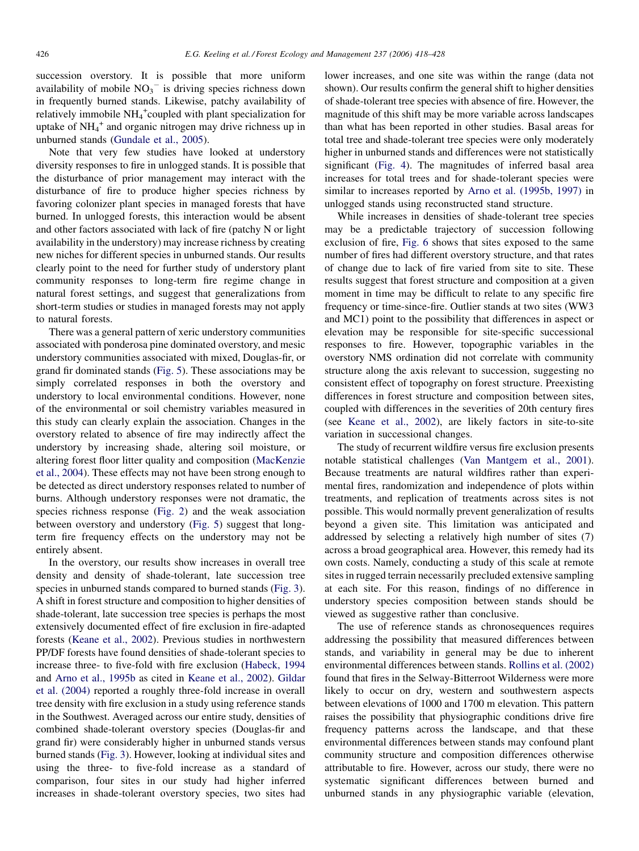succession overstory. It is possible that more uniform availability of mobile  $NO<sub>3</sub><sup>-</sup>$  is driving species richness down in frequently burned stands. Likewise, patchy availability of relatively immobile NH<sub>4</sub><sup>+</sup>coupled with plant specialization for uptake of NH4 <sup>+</sup> and organic nitrogen may drive richness up in unburned stands [\(Gundale et al., 2005\)](#page-10-0).

Note that very few studies have looked at understory diversity responses to fire in unlogged stands. It is possible that the disturbance of prior management may interact with the disturbance of fire to produce higher species richness by favoring colonizer plant species in managed forests that have burned. In unlogged forests, this interaction would be absent and other factors associated with lack of fire (patchy N or light availability in the understory) may increase richness by creating new niches for different species in unburned stands. Our results clearly point to the need for further study of understory plant community responses to long-term fire regime change in natural forest settings, and suggest that generalizations from short-term studies or studies in managed forests may not apply to natural forests.

There was a general pattern of xeric understory communities associated with ponderosa pine dominated overstory, and mesic understory communities associated with mixed, Douglas-fir, or grand fir dominated stands [\(Fig. 5\)](#page-6-0). These associations may be simply correlated responses in both the overstory and understory to local environmental conditions. However, none of the environmental or soil chemistry variables measured in this study can clearly explain the association. Changes in the overstory related to absence of fire may indirectly affect the understory by increasing shade, altering soil moisture, or altering forest floor litter quality and composition ([MacKenzie](#page-10-0) [et al., 2004\)](#page-10-0). These effects may not have been strong enough to be detected as direct understory responses related to number of burns. Although understory responses were not dramatic, the species richness response ([Fig. 2\)](#page-4-0) and the weak association between overstory and understory ([Fig. 5](#page-6-0)) suggest that longterm fire frequency effects on the understory may not be entirely absent.

In the overstory, our results show increases in overall tree density and density of shade-tolerant, late succession tree species in unburned stands compared to burned stands ([Fig. 3\)](#page-5-0). A shift in forest structure and composition to higher densities of shade-tolerant, late succession tree species is perhaps the most extensively documented effect of fire exclusion in fire-adapted forests [\(Keane et al., 2002](#page-10-0)). Previous studies in northwestern PP/DF forests have found densities of shade-tolerant species to increase three- to five-fold with fire exclusion [\(Habeck, 1994](#page-10-0) and [Arno et al., 1995b](#page-9-0) as cited in [Keane et al., 2002](#page-10-0)). [Gildar](#page-10-0) [et al. \(2004\)](#page-10-0) reported a roughly three-fold increase in overall tree density with fire exclusion in a study using reference stands in the Southwest. Averaged across our entire study, densities of combined shade-tolerant overstory species (Douglas-fir and grand fir) were considerably higher in unburned stands versus burned stands [\(Fig. 3](#page-5-0)). However, looking at individual sites and using the three- to five-fold increase as a standard of comparison, four sites in our study had higher inferred increases in shade-tolerant overstory species, two sites had lower increases, and one site was within the range (data not shown). Our results confirm the general shift to higher densities of shade-tolerant tree species with absence of fire. However, the magnitude of this shift may be more variable across landscapes than what has been reported in other studies. Basal areas for total tree and shade-tolerant tree species were only moderately higher in unburned stands and differences were not statistically significant ([Fig. 4\)](#page-6-0). The magnitudes of inferred basal area increases for total trees and for shade-tolerant species were similar to increases reported by [Arno et al. \(1995b, 1997\)](#page-9-0) in unlogged stands using reconstructed stand structure.

While increases in densities of shade-tolerant tree species may be a predictable trajectory of succession following exclusion of fire, [Fig. 6](#page-7-0) shows that sites exposed to the same number of fires had different overstory structure, and that rates of change due to lack of fire varied from site to site. These results suggest that forest structure and composition at a given moment in time may be difficult to relate to any specific fire frequency or time-since-fire. Outlier stands at two sites (WW3 and MC1) point to the possibility that differences in aspect or elevation may be responsible for site-specific successional responses to fire. However, topographic variables in the overstory NMS ordination did not correlate with community structure along the axis relevant to succession, suggesting no consistent effect of topography on forest structure. Preexisting differences in forest structure and composition between sites, coupled with differences in the severities of 20th century fires (see [Keane et al., 2002\)](#page-10-0), are likely factors in site-to-site variation in successional changes.

The study of recurrent wildfire versus fire exclusion presents notable statistical challenges [\(Van Mantgem et al., 2001\)](#page-10-0). Because treatments are natural wildfires rather than experimental fires, randomization and independence of plots within treatments, and replication of treatments across sites is not possible. This would normally prevent generalization of results beyond a given site. This limitation was anticipated and addressed by selecting a relatively high number of sites (7) across a broad geographical area. However, this remedy had its own costs. Namely, conducting a study of this scale at remote sites in rugged terrain necessarily precluded extensive sampling at each site. For this reason, findings of no difference in understory species composition between stands should be viewed as suggestive rather than conclusive.

The use of reference stands as chronosequences requires addressing the possibility that measured differences between stands, and variability in general may be due to inherent environmental differences between stands. [Rollins et al. \(2002\)](#page-10-0) found that fires in the Selway-Bitterroot Wilderness were more likely to occur on dry, western and southwestern aspects between elevations of 1000 and 1700 m elevation. This pattern raises the possibility that physiographic conditions drive fire frequency patterns across the landscape, and that these environmental differences between stands may confound plant community structure and composition differences otherwise attributable to fire. However, across our study, there were no systematic significant differences between burned and unburned stands in any physiographic variable (elevation,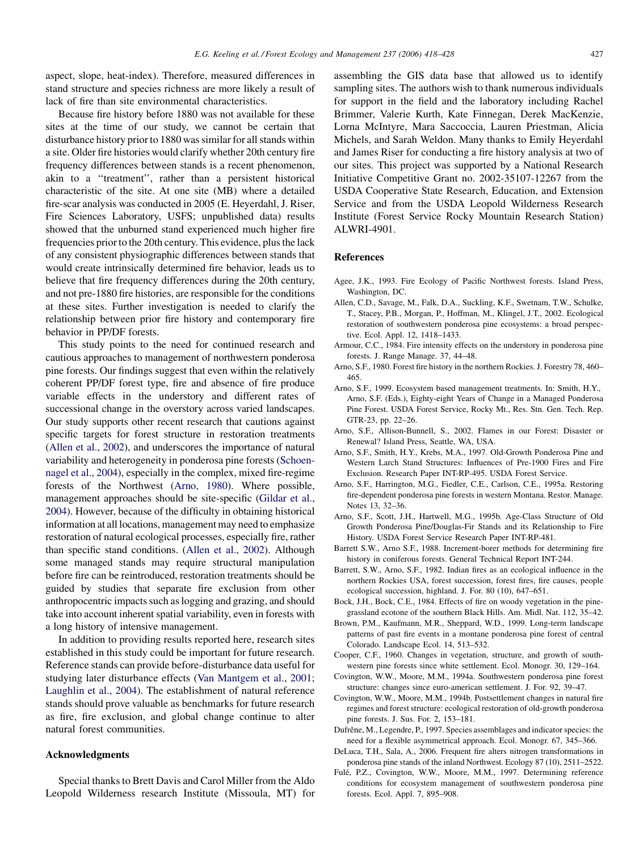<span id="page-9-0"></span>aspect, slope, heat-index). Therefore, measured differences in stand structure and species richness are more likely a result of lack of fire than site environmental characteristics.

Because fire history before 1880 was not available for these sites at the time of our study, we cannot be certain that disturbance history prior to 1880 was similar for all stands within a site. Older fire histories would clarify whether 20th century fire frequency differences between stands is a recent phenomenon, akin to a ''treatment'', rather than a persistent historical characteristic of the site. At one site (MB) where a detailed fire-scar analysis was conducted in 2005 (E. Heyerdahl, J. Riser, Fire Sciences Laboratory, USFS; unpublished data) results showed that the unburned stand experienced much higher fire frequencies prior to the 20th century. This evidence, plus the lack of any consistent physiographic differences between stands that would create intrinsically determined fire behavior, leads us to believe that fire frequency differences during the 20th century, and not pre-1880 fire histories, are responsible for the conditions at these sites. Further investigation is needed to clarify the relationship between prior fire history and contemporary fire behavior in PP/DF forests.

This study points to the need for continued research and cautious approaches to management of northwestern ponderosa pine forests. Our findings suggest that even within the relatively coherent PP/DF forest type, fire and absence of fire produce variable effects in the understory and different rates of successional change in the overstory across varied landscapes. Our study supports other recent research that cautions against specific targets for forest structure in restoration treatments (Allen et al., 2002), and underscores the importance of natural variability and heterogeneity in ponderosa pine forests [\(Schoen](#page-10-0)[nagel et al., 2004\)](#page-10-0), especially in the complex, mixed fire-regime forests of the Northwest (Arno, 1980). Where possible, management approaches should be site-specific ([Gildar et al.,](#page-10-0) [2004](#page-10-0)). However, because of the difficulty in obtaining historical information at all locations, management may need to emphasize restoration of natural ecological processes, especially fire, rather than specific stand conditions. (Allen et al., 2002). Although some managed stands may require structural manipulation before fire can be reintroduced, restoration treatments should be guided by studies that separate fire exclusion from other anthropocentric impacts such as logging and grazing, and should take into account inherent spatial variability, even in forests with a long history of intensive management.

In addition to providing results reported here, research sites established in this study could be important for future research. Reference stands can provide before-disturbance data useful for studying later disturbance effects [\(Van Mantgem et al., 2001;](#page-10-0) [Laughlin et al., 2004\)](#page-10-0). The establishment of natural reference stands should prove valuable as benchmarks for future research as fire, fire exclusion, and global change continue to alter natural forest communities.

# Acknowledgments

Special thanks to Brett Davis and Carol Miller from the Aldo Leopold Wilderness research Institute (Missoula, MT) for assembling the GIS data base that allowed us to identify sampling sites. The authors wish to thank numerous individuals for support in the field and the laboratory including Rachel Brimmer, Valerie Kurth, Kate Finnegan, Derek MacKenzie, Lorna McIntyre, Mara Saccoccia, Lauren Priestman, Alicia Michels, and Sarah Weldon. Many thanks to Emily Heyerdahl and James Riser for conducting a fire history analysis at two of our sites. This project was supported by a National Research Initiative Competitive Grant no. 2002-35107-12267 from the USDA Cooperative State Research, Education, and Extension Service and from the USDA Leopold Wilderness Research Institute (Forest Service Rocky Mountain Research Station) ALWRI-4901.

#### References

- Agee, J.K., 1993. Fire Ecology of Pacific Northwest forests. Island Press, Washington, DC.
- Allen, C.D., Savage, M., Falk, D.A., Suckling, K.F., Swetnam, T.W., Schulke, T., Stacey, P.B., Morgan, P., Hoffman, M., Klingel, J.T., 2002. Ecological restoration of southwestern ponderosa pine ecosystems: a broad perspective. Ecol. Appl. 12, 1418–1433.
- Armour, C.C., 1984. Fire intensity effects on the understory in ponderosa pine forests. J. Range Manage. 37, 44–48.
- Arno, S.F., 1980. Forest fire history in the northern Rockies. J. Forestry 78, 460– 465.
- Arno, S.F., 1999. Ecosystem based management treatments. In: Smith, H.Y., Arno, S.F. (Eds.), Eighty-eight Years of Change in a Managed Ponderosa Pine Forest. USDA Forest Service, Rocky Mt., Res. Stn. Gen. Tech. Rep. GTR-23, pp. 22–26.
- Arno, S.F., Allison-Bunnell, S., 2002. Flames in our Forest: Disaster or Renewal? Island Press, Seattle, WA, USA.
- Arno, S.F., Smith, H.Y., Krebs, M.A., 1997. Old-Growth Ponderosa Pine and Western Larch Stand Structures: Influences of Pre-1900 Fires and Fire Exclusion. Research Paper INT-RP-495. USDA Forest Service.
- Arno, S.F., Harrington, M.G., Fiedler, C.E., Carlson, C.E., 1995a. Restoring fire-dependent ponderosa pine forests in western Montana. Restor. Manage. Notes 13, 32–36.
- Arno, S.F., Scott, J.H., Hartwell, M.G., 1995b. Age-Class Structure of Old Growth Ponderosa Pine/Douglas-Fir Stands and its Relationship to Fire History. USDA Forest Service Research Paper INT-RP-481.
- Barrett S.W., Arno S.F., 1988. Increment-borer methods for determining fire history in coniferous forests. General Technical Report INT-244.
- Barrett, S.W., Arno, S.F., 1982. Indian fires as an ecological influence in the northern Rockies USA, forest succession, forest fires, fire causes, people ecological succession, highland. J. For. 80 (10), 647–651.
- Bock, J.H., Bock, C.E., 1984. Effects of fire on woody vegetation in the pinegrassland ecotone of the southern Black Hills. Am. Midl. Nat. 112, 35–42.
- Brown, P.M., Kaufmann, M.R., Sheppard, W.D., 1999. Long-term landscape patterns of past fire events in a montane ponderosa pine forest of central Colorado. Landscape Ecol. 14, 513–532.
- Cooper, C.F., 1960. Changes in vegetation, structure, and growth of southwestern pine forests since white settlement. Ecol. Monogr. 30, 129–164.
- Covington, W.W., Moore, M.M., 1994a. Southwestern ponderosa pine forest structure: changes since euro-american settlement. J. For. 92, 39–47.
- Covington, W.W., Moore, M.M., 1994b. Postsettlement changes in natural fire regimes and forest structure: ecological restoration of old-growth ponderosa pine forests. J. Sus. For. 2, 153–181.
- Dufrêne, M., Legendre, P., 1997. Species assemblages and indicator species: the need for a flexible asymmetrical approach. Ecol. Monogr. 67, 345–366.
- DeLuca, T.H., Sala, A., 2006. Frequent fire alters nitrogen transformations in ponderosa pine stands of the inland Northwest. Ecology 87 (10), 2511–2522.
- Fulé, P.Z., Covington, W.W., Moore, M.M., 1997. Determining reference conditions for ecosystem management of southwestern ponderosa pine forests. Ecol. Appl. 7, 895–908.